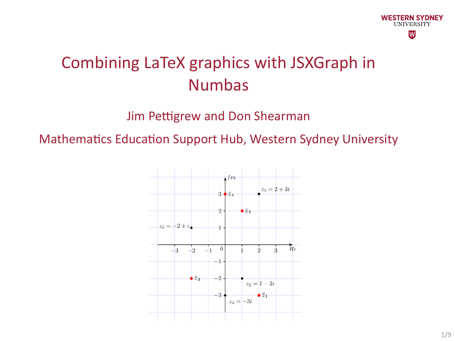

#### Combining LaTeX graphics with JSXGraph in Numbas

Jim Pettigrew and Don Shearman

Mathematics Education Support Hub, Western Sydney University

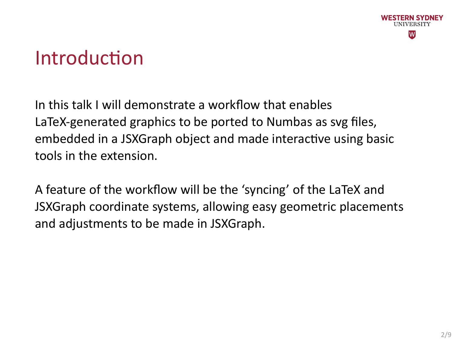

## Introduction

In this talk I will demonstrate a workflow that enables LaTeX‐generated graphics to be ported to Numbas as svg files, embedded in a JSXGraph object and made interactive using basic tools in the extension.

A feature of the workflow will be the 'syncing' of the LaTeX and JSXGraph coordinate systems, allowing easy geometric placements and adjustments to be made in JSXGraph.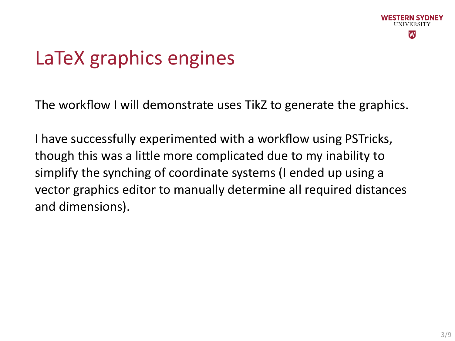

# LaTeX graphics engines

The workflow I will demonstrate uses TikZ to generate the graphics.

I have successfully experimented with a workflow using PSTricks, though this was a little more complicated due to my inability to simplify the synching of coordinate systems (I ended up using a vector graphics editor to manually determine all required distances and dimensions).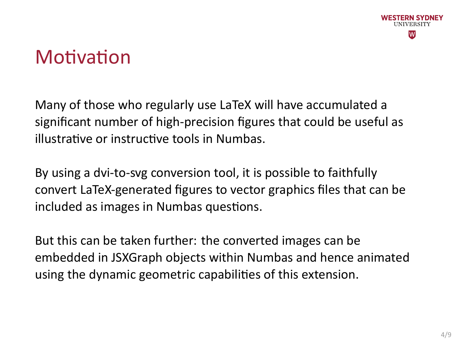

## **Motivation**

Many of those who regularly use LaTeX will have accumulated a significant number of high‐precision figures that could be useful as illustrative or instructive tools in Numbas.

By using a dvi‐to‐svg conversion tool, it is possible to faithfully convert LaTeX‐generated figures to vector graphics files that can be included as images in Numbas questions.

But this can be taken further: the converted images can be embedded in JSXGraph objects within Numbas and hence animated using the dynamic geometric capabilities of this extension.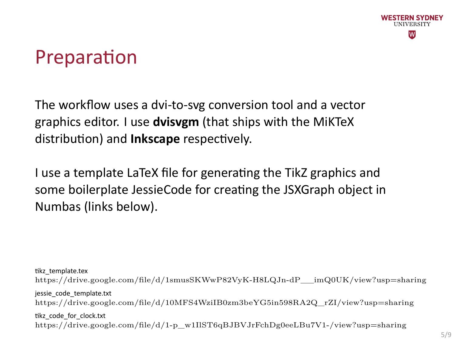

## Preparation

The workflow uses a dvi-to-svg conversion tool and a vector graphics editor. I use **dvisvgm** (that ships with the MiKTeX distribution) and **Inkscape** respectively.

I use a template LaTeX file for generating the TikZ graphics and some boilerplate JessieCode for creating the JSXGraph object in Numbas (links below).

tikz\_template.tex

https://drive.google.com/file/d/1smusSKWwP82VyK-H8LQJn-dP\_\_imQ0UK/view?usp=sharing jessie\_code\_template.txt

https://drive.google.com/file/d/10MFS4WziIB0zm3beYG5in598RA2Q\_rZI/view?usp=sharing tikz\_code\_for\_clock.txt

https://drive.google.com/file/d/1-p\_w1IlST6qBJBVJrFchDg0eeLBu7V1-/view?usp=sharing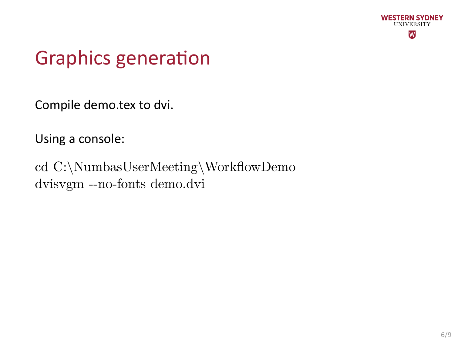

# Graphics generation

Compile demo.tex to dvi.

Using a console:

cd C:\NumbasUserMeeting\WorkflowDemo dvisvgm --no-fonts demo.dvi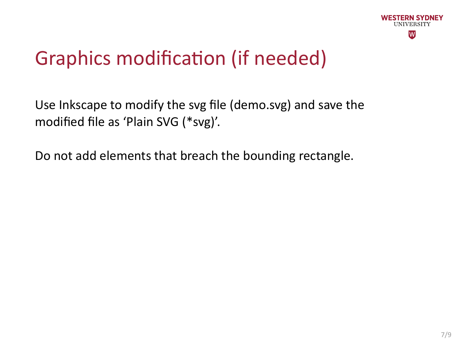

# Graphics modification (if needed)

Use Inkscape to modify the svg file (demo.svg) and save the modified file as 'Plain SVG (\*svg)'.

Do not add elements that breach the bounding rectangle.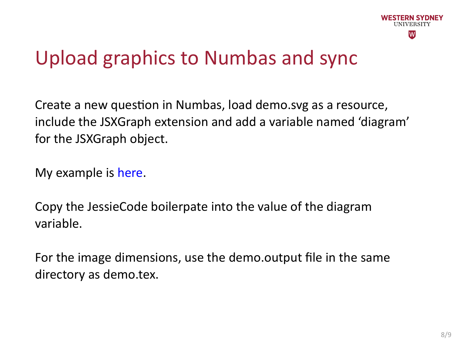

# Upload graphics to Numbas and sync

Create a new question in Numbas, load demo.svg as a resource, include the JSXGraph extension and add a variable named 'diagram' for the JSXGraph object.

My example is here.

Copy the JessieCode boilerpate into the value of the diagram variable.

For the image dimensions, use the demo.output file in the same directory as demo.tex.